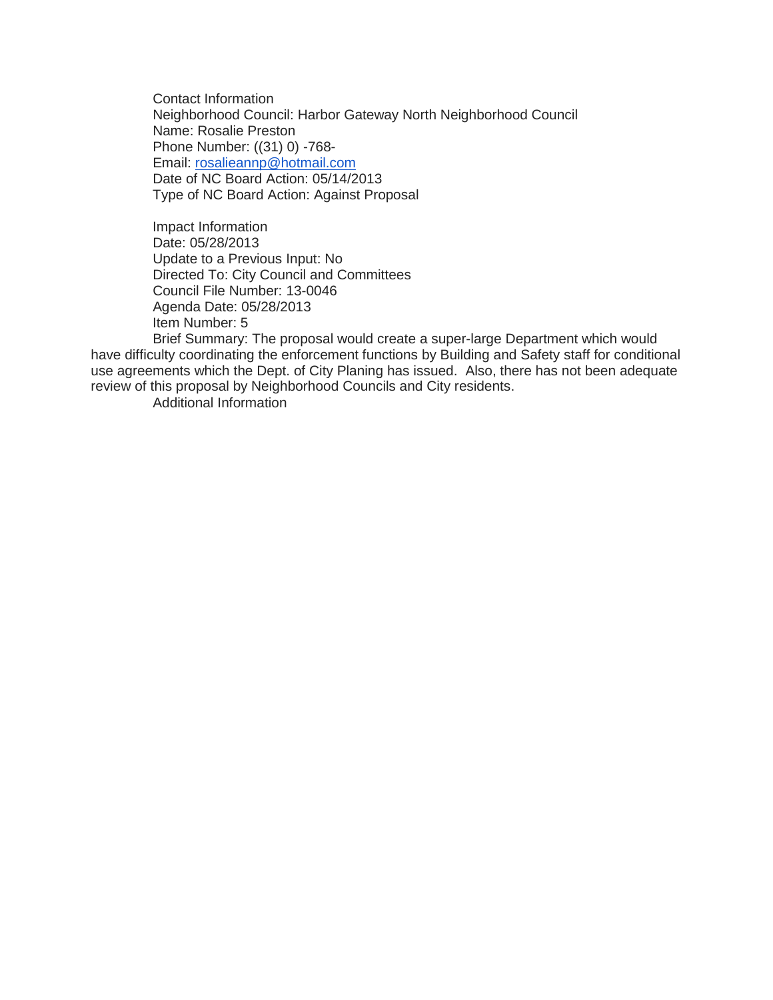Contact Information Neighborhood Council: Harbor Gateway North Neighborhood Council Name: Rosalie Preston Phone Number: ((31) 0) -768- Email: [rosalieannp@hotmail.com](mailto:rosalieannp@hotmail.com) Date of NC Board Action: 05/14/2013 Type of NC Board Action: Against Proposal

Impact Information Date: 05/28/2013 Update to a Previous Input: No Directed To: City Council and Committees Council File Number: 13-0046 Agenda Date: 05/28/2013 Item Number: 5

Brief Summary: The proposal would create a super-large Department which would have difficulty coordinating the enforcement functions by Building and Safety staff for conditional use agreements which the Dept. of City Planing has issued. Also, there has not been adequate review of this proposal by Neighborhood Councils and City residents.

Additional Information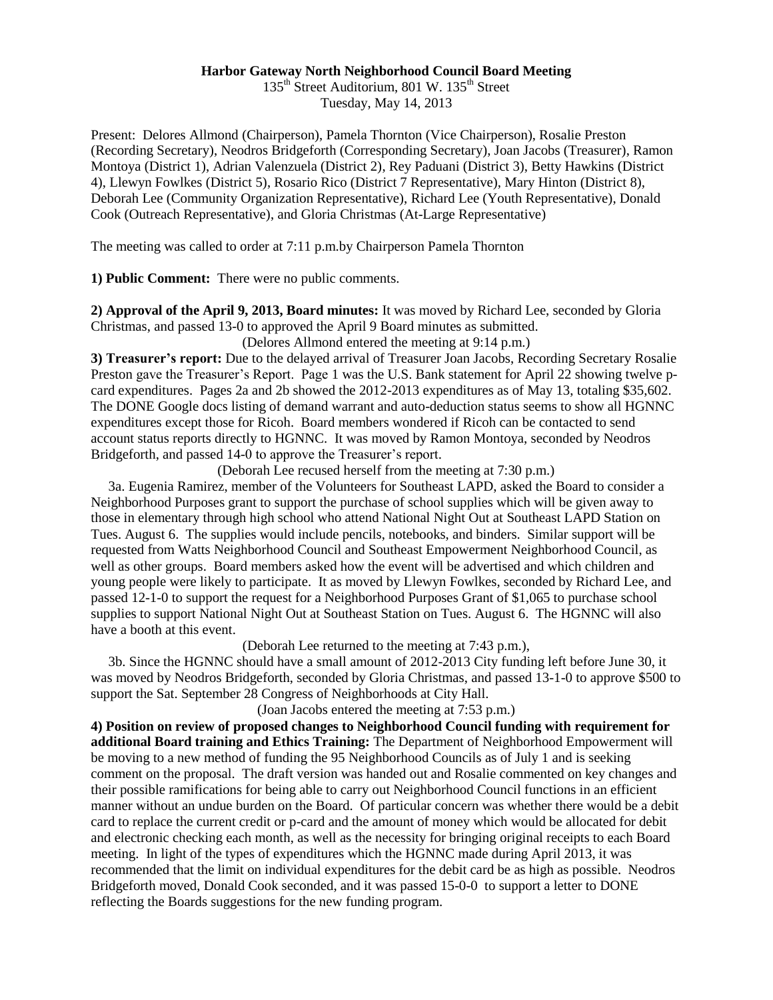## **Harbor Gateway North Neighborhood Council Board Meeting**

135<sup>th</sup> Street Auditorium, 801 W. 135<sup>th</sup> Street Tuesday, May 14, 2013

Present: Delores Allmond (Chairperson), Pamela Thornton (Vice Chairperson), Rosalie Preston (Recording Secretary), Neodros Bridgeforth (Corresponding Secretary), Joan Jacobs (Treasurer), Ramon Montoya (District 1), Adrian Valenzuela (District 2), Rey Paduani (District 3), Betty Hawkins (District 4), Llewyn Fowlkes (District 5), Rosario Rico (District 7 Representative), Mary Hinton (District 8), Deborah Lee (Community Organization Representative), Richard Lee (Youth Representative), Donald Cook (Outreach Representative), and Gloria Christmas (At-Large Representative)

The meeting was called to order at 7:11 p.m.by Chairperson Pamela Thornton

**1) Public Comment:** There were no public comments.

**2) Approval of the April 9, 2013, Board minutes:** It was moved by Richard Lee, seconded by Gloria Christmas, and passed 13-0 to approved the April 9 Board minutes as submitted.

(Delores Allmond entered the meeting at 9:14 p.m.)

**3) Treasurer's report:** Due to the delayed arrival of Treasurer Joan Jacobs, Recording Secretary Rosalie Preston gave the Treasurer's Report. Page 1 was the U.S. Bank statement for April 22 showing twelve pcard expenditures. Pages 2a and 2b showed the 2012-2013 expenditures as of May 13, totaling \$35,602. The DONE Google docs listing of demand warrant and auto-deduction status seems to show all HGNNC expenditures except those for Ricoh. Board members wondered if Ricoh can be contacted to send account status reports directly to HGNNC. It was moved by Ramon Montoya, seconded by Neodros Bridgeforth, and passed 14-0 to approve the Treasurer's report.

(Deborah Lee recused herself from the meeting at 7:30 p.m.)

 3a. Eugenia Ramirez, member of the Volunteers for Southeast LAPD, asked the Board to consider a Neighborhood Purposes grant to support the purchase of school supplies which will be given away to those in elementary through high school who attend National Night Out at Southeast LAPD Station on Tues. August 6. The supplies would include pencils, notebooks, and binders. Similar support will be requested from Watts Neighborhood Council and Southeast Empowerment Neighborhood Council, as well as other groups. Board members asked how the event will be advertised and which children and young people were likely to participate. It as moved by Llewyn Fowlkes, seconded by Richard Lee, and passed 12-1-0 to support the request for a Neighborhood Purposes Grant of \$1,065 to purchase school supplies to support National Night Out at Southeast Station on Tues. August 6. The HGNNC will also have a booth at this event.

(Deborah Lee returned to the meeting at 7:43 p.m.),

 3b. Since the HGNNC should have a small amount of 2012-2013 City funding left before June 30, it was moved by Neodros Bridgeforth, seconded by Gloria Christmas, and passed 13-1-0 to approve \$500 to support the Sat. September 28 Congress of Neighborhoods at City Hall.

(Joan Jacobs entered the meeting at 7:53 p.m.)

**4) Position on review of proposed changes to Neighborhood Council funding with requirement for additional Board training and Ethics Training:** The Department of Neighborhood Empowerment will be moving to a new method of funding the 95 Neighborhood Councils as of July 1 and is seeking comment on the proposal. The draft version was handed out and Rosalie commented on key changes and their possible ramifications for being able to carry out Neighborhood Council functions in an efficient manner without an undue burden on the Board. Of particular concern was whether there would be a debit card to replace the current credit or p-card and the amount of money which would be allocated for debit and electronic checking each month, as well as the necessity for bringing original receipts to each Board meeting. In light of the types of expenditures which the HGNNC made during April 2013, it was recommended that the limit on individual expenditures for the debit card be as high as possible. Neodros Bridgeforth moved, Donald Cook seconded, and it was passed 15-0-0 to support a letter to DONE reflecting the Boards suggestions for the new funding program.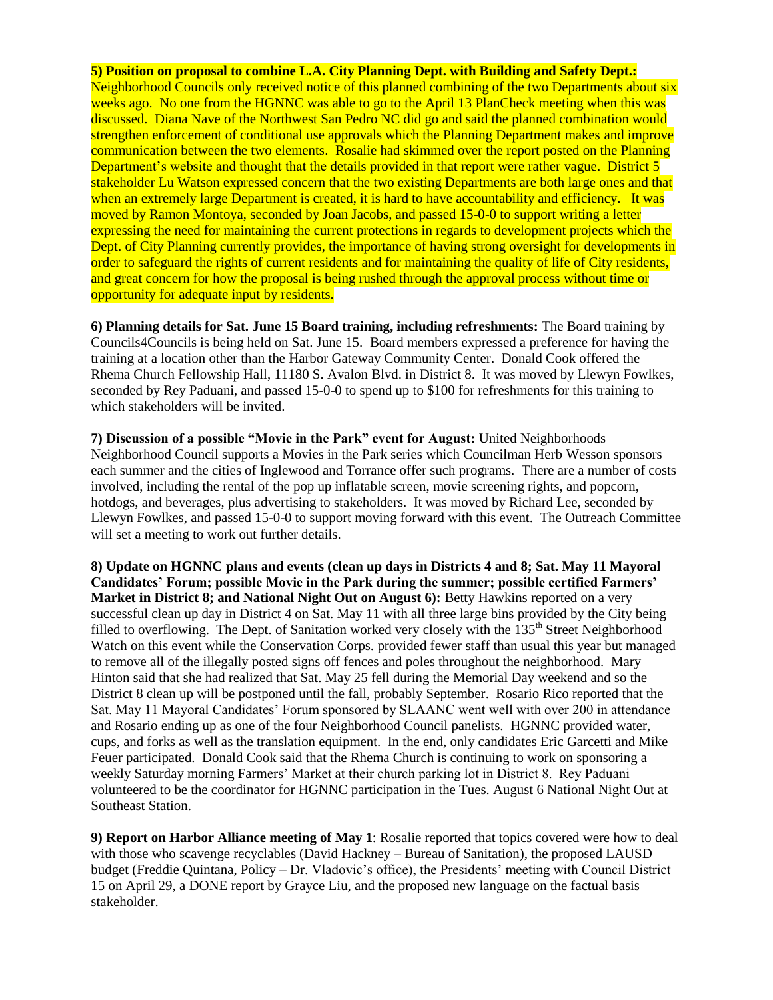## **5) Position on proposal to combine L.A. City Planning Dept. with Building and Safety Dept.:**

Neighborhood Councils only received notice of this planned combining of the two Departments about six weeks ago. No one from the HGNNC was able to go to the April 13 PlanCheck meeting when this was discussed. Diana Nave of the Northwest San Pedro NC did go and said the planned combination would strengthen enforcement of conditional use approvals which the Planning Department makes and improve communication between the two elements. Rosalie had skimmed over the report posted on the Planning Department's website and thought that the details provided in that report were rather vague. District 5 stakeholder Lu Watson expressed concern that the two existing Departments are both large ones and that when an extremely large Department is created, it is hard to have accountability and efficiency. It was moved by Ramon Montoya, seconded by Joan Jacobs, and passed 15-0-0 to support writing a letter expressing the need for maintaining the current protections in regards to development projects which the Dept. of City Planning currently provides, the importance of having strong oversight for developments in order to safeguard the rights of current residents and for maintaining the quality of life of City residents, and great concern for how the proposal is being rushed through the approval process without time or opportunity for adequate input by residents.

**6) Planning details for Sat. June 15 Board training, including refreshments:** The Board training by Councils4Councils is being held on Sat. June 15.Board members expressed a preference for having the training at a location other than the Harbor Gateway Community Center. Donald Cook offered the Rhema Church Fellowship Hall, 11180 S. Avalon Blvd. in District 8. It was moved by Llewyn Fowlkes, seconded by Rey Paduani, and passed 15-0-0 to spend up to \$100 for refreshments for this training to which stakeholders will be invited.

**7) Discussion of a possible "Movie in the Park" event for August:** United Neighborhoods Neighborhood Council supports a Movies in the Park series which Councilman Herb Wesson sponsors each summer and the cities of Inglewood and Torrance offer such programs. There are a number of costs involved, including the rental of the pop up inflatable screen, movie screening rights, and popcorn, hotdogs, and beverages, plus advertising to stakeholders. It was moved by Richard Lee, seconded by Llewyn Fowlkes, and passed 15-0-0 to support moving forward with this event. The Outreach Committee will set a meeting to work out further details.

**8) Update on HGNNC plans and events (clean up days in Districts 4 and 8; Sat. May 11 Mayoral Candidates' Forum; possible Movie in the Park during the summer; possible certified Farmers' Market in District 8; and National Night Out on August 6): Betty Hawkins reported on a very** successful clean up day in District 4 on Sat. May 11 with all three large bins provided by the City being filled to overflowing. The Dept. of Sanitation worked very closely with the 135<sup>th</sup> Street Neighborhood Watch on this event while the Conservation Corps. provided fewer staff than usual this year but managed to remove all of the illegally posted signs off fences and poles throughout the neighborhood. Mary Hinton said that she had realized that Sat. May 25 fell during the Memorial Day weekend and so the District 8 clean up will be postponed until the fall, probably September. Rosario Rico reported that the Sat. May 11 Mayoral Candidates' Forum sponsored by SLAANC went well with over 200 in attendance and Rosario ending up as one of the four Neighborhood Council panelists. HGNNC provided water, cups, and forks as well as the translation equipment. In the end, only candidates Eric Garcetti and Mike Feuer participated. Donald Cook said that the Rhema Church is continuing to work on sponsoring a weekly Saturday morning Farmers' Market at their church parking lot in District 8. Rey Paduani volunteered to be the coordinator for HGNNC participation in the Tues. August 6 National Night Out at Southeast Station.

**9) Report on Harbor Alliance meeting of May 1**: Rosalie reported that topics covered were how to deal with those who scavenge recyclables (David Hackney – Bureau of Sanitation), the proposed LAUSD budget (Freddie Quintana, Policy – Dr. Vladovic's office), the Presidents' meeting with Council District 15 on April 29, a DONE report by Grayce Liu, and the proposed new language on the factual basis stakeholder.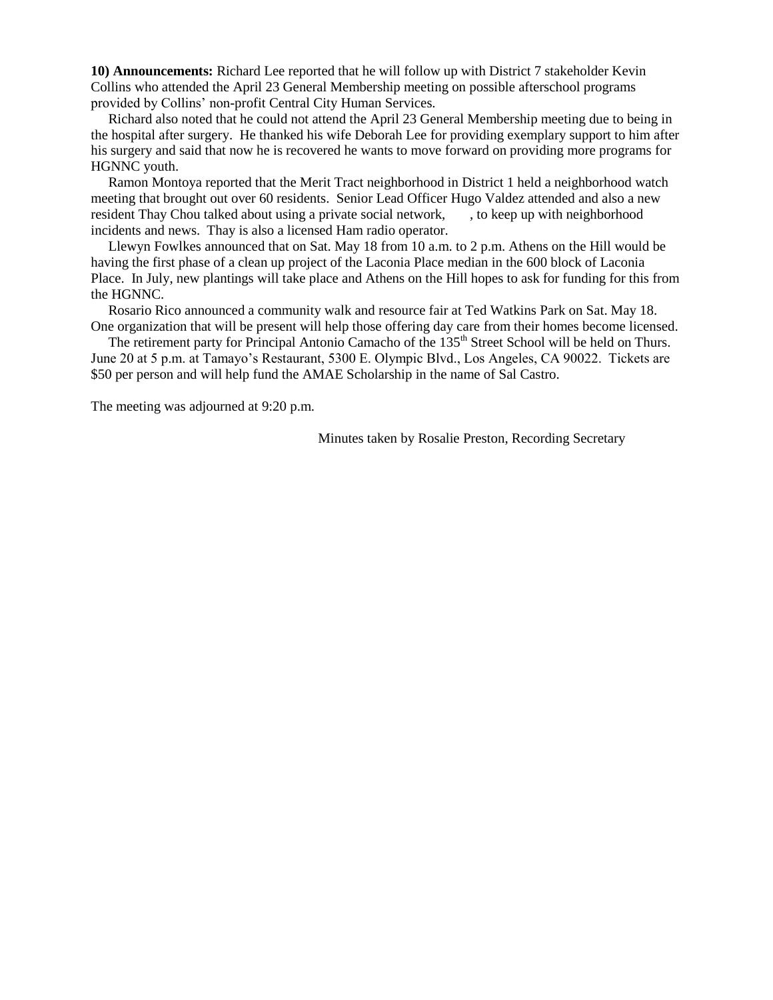**10) Announcements:** Richard Lee reported that he will follow up with District 7 stakeholder Kevin Collins who attended the April 23 General Membership meeting on possible afterschool programs provided by Collins' non-profit Central City Human Services.

 Richard also noted that he could not attend the April 23 General Membership meeting due to being in the hospital after surgery. He thanked his wife Deborah Lee for providing exemplary support to him after his surgery and said that now he is recovered he wants to move forward on providing more programs for HGNNC youth.

 Ramon Montoya reported that the Merit Tract neighborhood in District 1 held a neighborhood watch meeting that brought out over 60 residents. Senior Lead Officer Hugo Valdez attended and also a new resident Thay Chou talked about using a private social network, , to keep up with neighborhood incidents and news. Thay is also a licensed Ham radio operator.

 Llewyn Fowlkes announced that on Sat. May 18 from 10 a.m. to 2 p.m. Athens on the Hill would be having the first phase of a clean up project of the Laconia Place median in the 600 block of Laconia Place. In July, new plantings will take place and Athens on the Hill hopes to ask for funding for this from the HGNNC.

 Rosario Rico announced a community walk and resource fair at Ted Watkins Park on Sat. May 18. One organization that will be present will help those offering day care from their homes become licensed.

The retirement party for Principal Antonio Camacho of the 135<sup>th</sup> Street School will be held on Thurs. June 20 at 5 p.m. at Tamayo's Restaurant, 5300 E. Olympic Blvd., Los Angeles, CA 90022. Tickets are \$50 per person and will help fund the AMAE Scholarship in the name of Sal Castro.

The meeting was adjourned at 9:20 p.m.

Minutes taken by Rosalie Preston, Recording Secretary